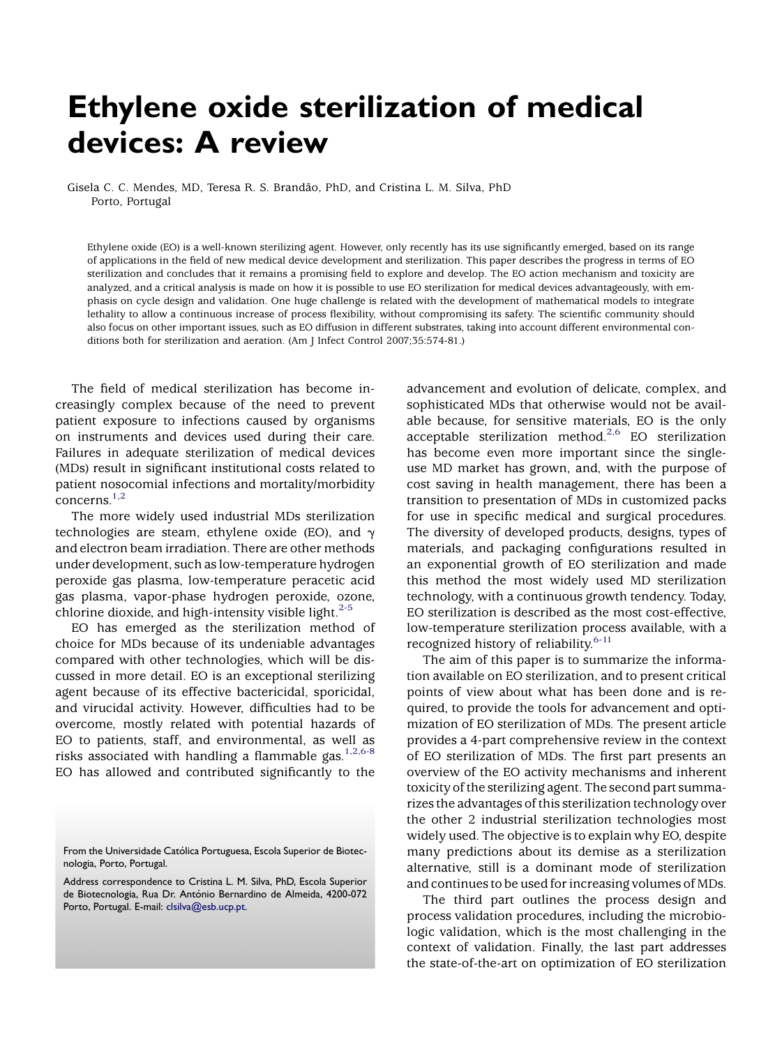# Ethylene oxide sterilization of medical devices: A review

Gisela C. C. Mendes, MD, Teresa R. S. Brandão, PhD, and Cristina L. M. Silva, PhD Porto, Portugal

Ethylene oxide (EO) is a well-known sterilizing agent. However, only recently has its use significantly emerged, based on its range of applications in the field of new medical device development and sterilization. This paper describes the progress in terms of EO sterilization and concludes that it remains a promising field to explore and develop. The EO action mechanism and toxicity are analyzed, and a critical analysis is made on how it is possible to use EO sterilization for medical devices advantageously, with emphasis on cycle design and validation. One huge challenge is related with the development of mathematical models to integrate lethality to allow a continuous increase of process flexibility, without compromising its safety. The scientific community should also focus on other important issues, such as EO diffusion in different substrates, taking into account different environmental conditions both for sterilization and aeration. (Am J Infect Control 2007;35:574-81.)

The field of medical sterilization has become increasingly complex because of the need to prevent patient exposure to infections caused by organisms on instruments and devices used during their care. Failures in adequate sterilization of medical devices (MDs) result in significant institutional costs related to patient nosocomial infections and mortality/morbidity concerns.[1,2](#page-6-0)

The more widely used industrial MDs sterilization technologies are steam, ethylene oxide (EO), and  $\gamma$ and electron beam irradiation. There are other methods under development, such as low-temperature hydrogen peroxide gas plasma, low-temperature peracetic acid gas plasma, vapor-phase hydrogen peroxide, ozone, chlorine dioxide, and high-intensity visible light. $2-5$ 

EO has emerged as the sterilization method of choice for MDs because of its undeniable advantages compared with other technologies, which will be discussed in more detail. EO is an exceptional sterilizing agent because of its effective bactericidal, sporicidal, and virucidal activity. However, difficulties had to be overcome, mostly related with potential hazards of EO to patients, staff, and environmental, as well as risks associated with handling a flammable gas.  $1,2,6-8$ EO has allowed and contributed significantly to the

From the Universidade Católica Portuguesa, Escola Superior de Biotecnologia, Porto, Portugal.

Address corresponden[ce](mailto:clsilva@esb.ucp.pt) [to](mailto:clsilva@esb.ucp.pt) [Cristina](mailto:clsilva@esb.ucp.pt) [L.](mailto:clsilva@esb.ucp.pt) [M](mailto:clsilva@esb.ucp.pt). Silva, PhD, Escola Superior de Biotecnologia, Rua Dr. António Bernardino de Almeida, 4200-072 Porto, Portugal. E-mail: clsilva@esb.ucp.pt.

advancement and evolution of delicate, complex, and sophisticated MDs that otherwise would not be available because, for sensitive materials, EO is the only acceptable sterilization method. $2,6$  EO sterilization has become even more important since the singleuse MD market has grown, and, with the purpose of cost saving in health management, there has been a transition to presentation of MDs in customized packs for use in specific medical and surgical procedures. The diversity of developed products, designs, types of materials, and packaging configurations resulted in an exponential growth of EO sterilization and made this method the most widely used MD sterilization technology, with a continuous growth tendency. Today, EO sterilization is described as the most cost-effective, low-temperature sterilization process available, with a recognized history of reliability.<sup>[6-11](#page-6-0)</sup>

The aim of this paper is to summarize the information available on EO sterilization, and to present critical points of view about what has been done and is required, to provide the tools for advancement and optimization of EO sterilization of MDs. The present article provides a 4-part comprehensive review in the context of EO sterilization of MDs. The first part presents an overview of the EO activity mechanisms and inherent toxicity of the sterilizing agent. The second part summarizes the advantages of this sterilization technology over the other 2 industrial sterilization technologies most widely used. The objective is to explain why EO, despite many predictions about its demise as a sterilization alternative, still is a dominant mode of sterilization and continues to be used for increasing volumes of MDs.

The third part outlines the process design and process validation procedures, including the microbiologic validation, which is the most challenging in the context of validation. Finally, the last part addresses the state-of-the-art on optimization of EO sterilization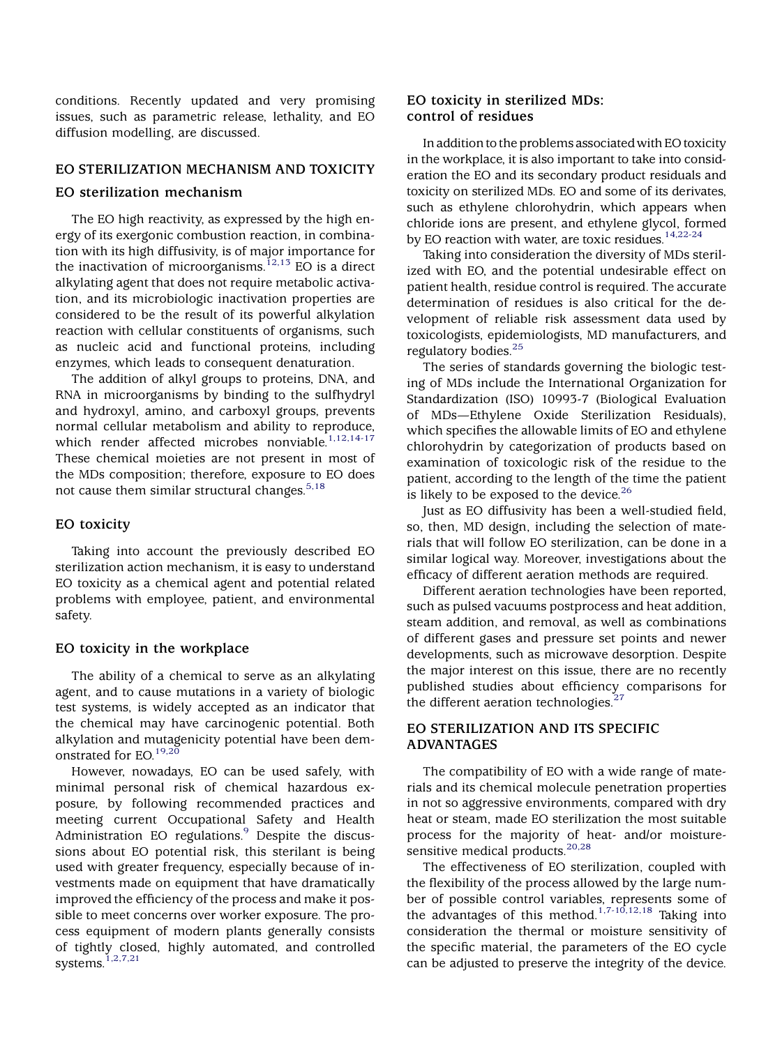conditions. Recently updated and very promising issues, such as parametric release, lethality, and EO diffusion modelling, are discussed.

## EO STERILIZATION MECHANISM AND TOXICITY

#### EO sterilization mechanism

The EO high reactivity, as expressed by the high energy of its exergonic combustion reaction, in combination with its high diffusivity, is of major importance for the inactivation of microorganisms.<sup>[12,13](#page-6-0)</sup> EO is a direct alkylating agent that does not require metabolic activation, and its microbiologic inactivation properties are considered to be the result of its powerful alkylation reaction with cellular constituents of organisms, such as nucleic acid and functional proteins, including enzymes, which leads to consequent denaturation.

The addition of alkyl groups to proteins, DNA, and RNA in microorganisms by binding to the sulfhydryl and hydroxyl, amino, and carboxyl groups, prevents normal cellular metabolism and ability to reproduce, which render affected microbes nonviable.<sup>[1,12,14-17](#page-6-0)</sup> These chemical moieties are not present in most of the MDs composition; therefore, exposure to EO does not cause them similar structural changes.<sup>[5,18](#page-6-0)</sup>

## EO toxicity

Taking into account the previously described EO sterilization action mechanism, it is easy to understand EO toxicity as a chemical agent and potential related problems with employee, patient, and environmental safety.

#### EO toxicity in the workplace

The ability of a chemical to serve as an alkylating agent, and to cause mutations in a variety of biologic test systems, is widely accepted as an indicator that the chemical may have carcinogenic potential. Both alkylation and mutagenicity potential have been dem-onstrated for EO.<sup>[19,20](#page-6-0)</sup>

However, nowadays, EO can be used safely, with minimal personal risk of chemical hazardous exposure, by following recommended practices and meeting current Occupational Safety and Health Administration EO regulations.<sup>9</sup> Despite the discussions about EO potential risk, this sterilant is being used with greater frequency, especially because of investments made on equipment that have dramatically improved the efficiency of the process and make it possible to meet concerns over worker exposure. The process equipment of modern plants generally consists of tightly closed, highly automated, and controlled systems. $1,2,7,21$ 

## EO toxicity in sterilized MDs: control of residues

In addition to the problems associated with EO toxicity in the workplace, it is also important to take into consideration the EO and its secondary product residuals and toxicity on sterilized MDs. EO and some of its derivates, such as ethylene chlorohydrin, which appears when chloride ions are present, and ethylene glycol, formed by EO reaction with water, are toxic residues.<sup>14,22-24</sup>

Taking into consideration the diversity of MDs sterilized with EO, and the potential undesirable effect on patient health, residue control is required. The accurate determination of residues is also critical for the development of reliable risk assessment data used by toxicologists, epidemiologists, MD manufacturers, and regulatory bodies.<sup>[25](#page-6-0)</sup>

The series of standards governing the biologic testing of MDs include the International Organization for Standardization (ISO) 10993-7 (Biological Evaluation of MDs—Ethylene Oxide Sterilization Residuals), which specifies the allowable limits of EO and ethylene chlorohydrin by categorization of products based on examination of toxicologic risk of the residue to the patient, according to the length of the time the patient is likely to be exposed to the device.<sup>[26](#page-6-0)</sup>

Just as EO diffusivity has been a well-studied field, so, then, MD design, including the selection of materials that will follow EO sterilization, can be done in a similar logical way. Moreover, investigations about the efficacy of different aeration methods are required.

Different aeration technologies have been reported, such as pulsed vacuums postprocess and heat addition, steam addition, and removal, as well as combinations of different gases and pressure set points and newer developments, such as microwave desorption. Despite the major interest on this issue, there are no recently published studies about efficiency comparisons for the different aeration technologies. $27$ 

## EO STERILIZATION AND ITS SPECIFIC ADVANTAGES

The compatibility of EO with a wide range of materials and its chemical molecule penetration properties in not so aggressive environments, compared with dry heat or steam, made EO sterilization the most suitable process for the majority of heat- and/or moisture-sensitive medical products.<sup>[20,28](#page-6-0)</sup>

The effectiveness of EO sterilization, coupled with the flexibility of the process allowed by the large number of possible control variables, represents some of the advantages of this method.<sup>[1,7-10,12,18](#page-6-0)</sup> Taking into consideration the thermal or moisture sensitivity of the specific material, the parameters of the EO cycle can be adjusted to preserve the integrity of the device.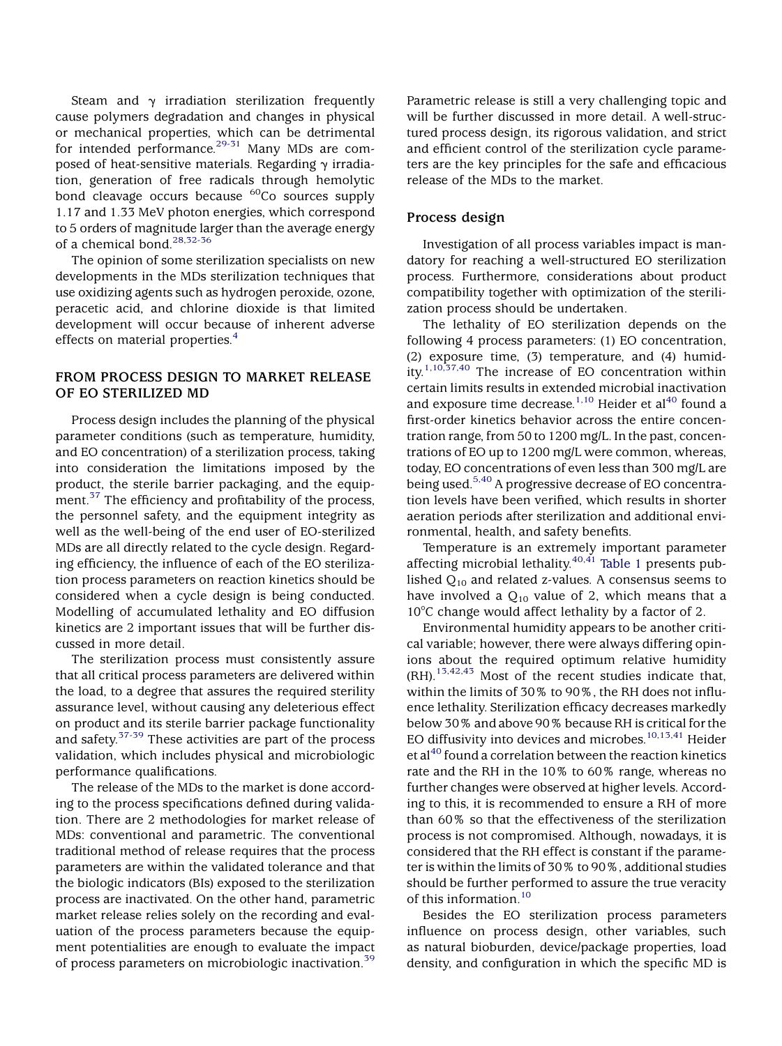Steam and  $\gamma$  irradiation sterilization frequently cause polymers degradation and changes in physical or mechanical properties, which can be detrimental for intended performance. $29-31$  Many MDs are composed of heat-sensitive materials. Regarding  $\gamma$  irradiation, generation of free radicals through hemolytic bond cleavage occurs because <sup>60</sup>Co sources supply 1.17 and 1.33 MeV photon energies, which correspond to 5 orders of magnitude larger than the average energy of a chemical bond.[28,32-36](#page-6-0)

The opinion of some sterilization specialists on new developments in the MDs sterilization techniques that use oxidizing agents such as hydrogen peroxide, ozone, peracetic acid, and chlorine dioxide is that limited development will occur because of inherent adverse effects on material properties.<sup>[4](#page-6-0)</sup>

## FROM PROCESS DESIGN TO MARKET RELEASE OF EO STERILIZED MD

Process design includes the planning of the physical parameter conditions (such as temperature, humidity, and EO concentration) of a sterilization process, taking into consideration the limitations imposed by the product, the sterile barrier packaging, and the equipment. $37$  The efficiency and profitability of the process, the personnel safety, and the equipment integrity as well as the well-being of the end user of EO-sterilized MDs are all directly related to the cycle design. Regarding efficiency, the influence of each of the EO sterilization process parameters on reaction kinetics should be considered when a cycle design is being conducted. Modelling of accumulated lethality and EO diffusion kinetics are 2 important issues that will be further discussed in more detail.

The sterilization process must consistently assure that all critical process parameters are delivered within the load, to a degree that assures the required sterility assurance level, without causing any deleterious effect on product and its sterile barrier package functionality and safety.[37-39](#page-7-0) These activities are part of the process validation, which includes physical and microbiologic performance qualifications.

The release of the MDs to the market is done according to the process specifications defined during validation. There are 2 methodologies for market release of MDs: conventional and parametric. The conventional traditional method of release requires that the process parameters are within the validated tolerance and that the biologic indicators (BIs) exposed to the sterilization process are inactivated. On the other hand, parametric market release relies solely on the recording and evaluation of the process parameters because the equipment potentialities are enough to evaluate the impact of process parameters on microbiologic inactivation.<sup>[39](#page-7-0)</sup>

Parametric release is still a very challenging topic and will be further discussed in more detail. A well-structured process design, its rigorous validation, and strict and efficient control of the sterilization cycle parameters are the key principles for the safe and efficacious release of the MDs to the market.

### Process design

Investigation of all process variables impact is mandatory for reaching a well-structured EO sterilization process. Furthermore, considerations about product compatibility together with optimization of the sterilization process should be undertaken.

The lethality of EO sterilization depends on the following 4 process parameters: (1) EO concentration, (2) exposure time, (3) temperature, and (4) humid-ity.<sup>[1,10,37,40](#page-6-0)</sup> The increase of EO concentration within certain limits results in extended microbial inactivation and exposure time decrease.<sup>[1,10](#page-6-0)</sup> Heider et al<sup>40</sup> found a first-order kinetics behavior across the entire concentration range, from 50 to 1200 mg/L. In the past, concentrations of EO up to 1200 mg/L were common, whereas, today, EO concentrations of even less than 300 mg/L are being used.[5,40](#page-6-0) A progressive decrease of EO concentration levels have been verified, which results in shorter aeration periods after sterilization and additional environmental, health, and safety benefits.

Temperature is an extremely important parameter affecting microbial lethality.<sup>[40,41](#page-7-0)</sup> [Table 1](#page-3-0) presents published  $Q_{10}$  and related z-values. A consensus seems to have involved a  $Q_{10}$  value of 2, which means that a 10°C change would affect lethality by a factor of 2.

Environmental humidity appears to be another critical variable; however, there were always differing opinions about the required optimum relative humidity  $(RH).$ <sup>[13,42,43](#page-6-0)</sup> Most of the recent studies indicate that, within the limits of 30% to 90%, the RH does not influence lethality. Sterilization efficacy decreases markedly below 30% and above 90% because RH is critical for the EO diffusivity into devices and microbes.<sup>[10,13,41](#page-6-0)</sup> Heider et al $^{40}$  $^{40}$  $^{40}$  found a correlation between the reaction kinetics rate and the RH in the 10% to 60% range, whereas no further changes were observed at higher levels. According to this, it is recommended to ensure a RH of more than 60% so that the effectiveness of the sterilization process is not compromised. Although, nowadays, it is considered that the RH effect is constant if the parameter is within the limits of 30% to 90%, additional studies should be further performed to assure the true veracity of this information.<sup>[10](#page-6-0)</sup>

Besides the EO sterilization process parameters influence on process design, other variables, such as natural bioburden, device/package properties, load density, and configuration in which the specific MD is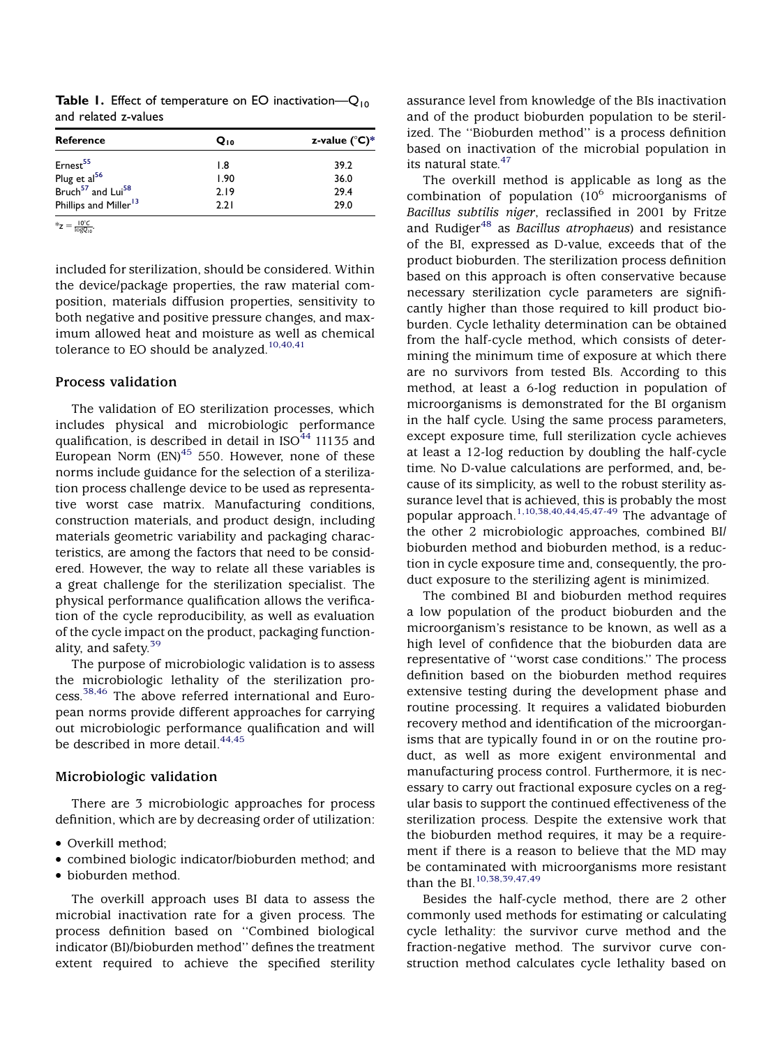<span id="page-3-0"></span>**Table 1.** Effect of temperature on EO inactivation- $Q_{10}$ and related z-values

| Reference                                 | $Q_{10}$ | z-value $(^{\circ}C)*$ |
|-------------------------------------------|----------|------------------------|
| Ernest <sup>55</sup>                      | 1.8      | 39.2                   |
| Plug et al <sup>56</sup>                  | 1.90     | 36.0                   |
| Bruch <sup>57</sup> and Lui <sup>58</sup> | 2.19     | 29.4                   |
| Phillips and Miller <sup>13</sup>         | 2.21     | 29.0                   |

 $*_{Z} = \frac{10^{\circ}C}{\log Q_{10}}$ .

included for sterilization, should be considered. Within the device/package properties, the raw material composition, materials diffusion properties, sensitivity to both negative and positive pressure changes, and maximum allowed heat and moisture as well as chemical tolerance to EO should be analyzed. $10,40,41$ 

#### Process validation

The validation of EO sterilization processes, which includes physical and microbiologic performance qualification, is described in detail in  $ISO<sup>44</sup>$  $ISO<sup>44</sup>$  $ISO<sup>44</sup>$  11135 and European Norm  $(EN)^{45}$  $(EN)^{45}$  $(EN)^{45}$  550. However, none of these norms include guidance for the selection of a sterilization process challenge device to be used as representative worst case matrix. Manufacturing conditions, construction materials, and product design, including materials geometric variability and packaging characteristics, are among the factors that need to be considered. However, the way to relate all these variables is a great challenge for the sterilization specialist. The physical performance qualification allows the verification of the cycle reproducibility, as well as evaluation of the cycle impact on the product, packaging function-ality, and safety.<sup>[39](#page-7-0)</sup>

The purpose of microbiologic validation is to assess the microbiologic lethality of the sterilization pro-cess.<sup>[38,46](#page-7-0)</sup> The above referred international and European norms provide different approaches for carrying out microbiologic performance qualification and will be described in more detail.<sup>[44,45](#page-7-0)</sup>

#### Microbiologic validation

There are 3 microbiologic approaches for process definition, which are by decreasing order of utilization:

- Overkill method;
- combined biologic indicator/bioburden method; and
- bioburden method.

The overkill approach uses BI data to assess the microbial inactivation rate for a given process. The process definition based on ''Combined biological indicator (BI)/bioburden method'' defines the treatment extent required to achieve the specified sterility

assurance level from knowledge of the BIs inactivation and of the product bioburden population to be sterilized. The ''Bioburden method'' is a process definition based on inactivation of the microbial population in its natural state.<sup>[47](#page-7-0)</sup>

The overkill method is applicable as long as the combination of population  $(10^6$  microorganisms of Bacillus subtilis niger, reclassified in 2001 by Fritze and Rudiger<sup>[48](#page-7-0)</sup> as Bacillus atrophaeus) and resistance of the BI, expressed as D-value, exceeds that of the product bioburden. The sterilization process definition based on this approach is often conservative because necessary sterilization cycle parameters are significantly higher than those required to kill product bioburden. Cycle lethality determination can be obtained from the half-cycle method, which consists of determining the minimum time of exposure at which there are no survivors from tested BIs. According to this method, at least a 6-log reduction in population of microorganisms is demonstrated for the BI organism in the half cycle. Using the same process parameters, except exposure time, full sterilization cycle achieves at least a 12-log reduction by doubling the half-cycle time. No D-value calculations are performed, and, because of its simplicity, as well to the robust sterility assurance level that is achieved, this is probably the most popular approach.<sup>[1,10,38,40,44,45,47-49](#page-6-0)</sup> The advantage of the other 2 microbiologic approaches, combined BI/ bioburden method and bioburden method, is a reduction in cycle exposure time and, consequently, the product exposure to the sterilizing agent is minimized.

The combined BI and bioburden method requires a low population of the product bioburden and the microorganism's resistance to be known, as well as a high level of confidence that the bioburden data are representative of ''worst case conditions.'' The process definition based on the bioburden method requires extensive testing during the development phase and routine processing. It requires a validated bioburden recovery method and identification of the microorganisms that are typically found in or on the routine product, as well as more exigent environmental and manufacturing process control. Furthermore, it is necessary to carry out fractional exposure cycles on a regular basis to support the continued effectiveness of the sterilization process. Despite the extensive work that the bioburden method requires, it may be a requirement if there is a reason to believe that the MD may be contaminated with microorganisms more resistant than the BI.<sup>[10,38,39,47,49](#page-6-0)</sup>

Besides the half-cycle method, there are 2 other commonly used methods for estimating or calculating cycle lethality: the survivor curve method and the fraction-negative method. The survivor curve construction method calculates cycle lethality based on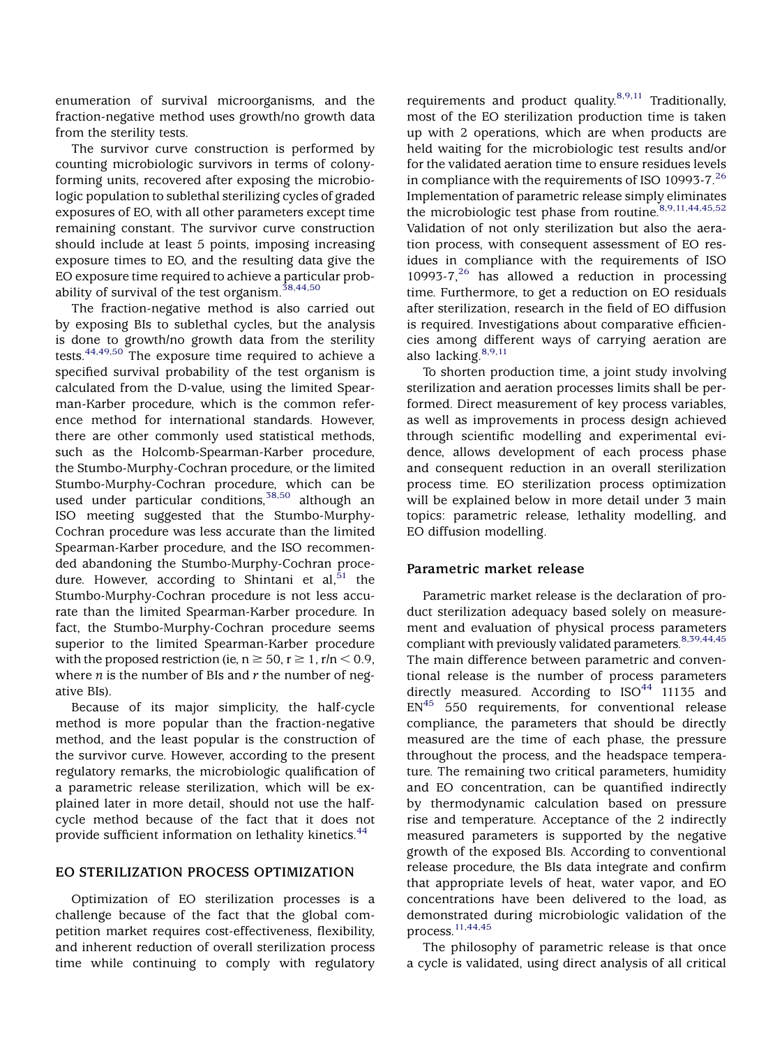enumeration of survival microorganisms, and the fraction-negative method uses growth/no growth data from the sterility tests.

The survivor curve construction is performed by counting microbiologic survivors in terms of colonyforming units, recovered after exposing the microbiologic population to sublethal sterilizing cycles of graded exposures of EO, with all other parameters except time remaining constant. The survivor curve construction should include at least 5 points, imposing increasing exposure times to EO, and the resulting data give the EO exposure time required to achieve a particular prob-ability of survival of the test organism.<sup>[38,44,50](#page-7-0)</sup>

The fraction-negative method is also carried out by exposing BIs to sublethal cycles, but the analysis is done to growth/no growth data from the sterility tests. $44,49,50$  The exposure time required to achieve a specified survival probability of the test organism is calculated from the D-value, using the limited Spearman-Karber procedure, which is the common reference method for international standards. However, there are other commonly used statistical methods, such as the Holcomb-Spearman-Karber procedure, the Stumbo-Murphy-Cochran procedure, or the limited Stumbo-Murphy-Cochran procedure, which can be used under particular conditions,  $38,50$  although an ISO meeting suggested that the Stumbo-Murphy-Cochran procedure was less accurate than the limited Spearman-Karber procedure, and the ISO recommended abandoning the Stumbo-Murphy-Cochran procedure. However, according to Shintani et  $aI$ <sup>[51](#page-7-0)</sup>, the Stumbo-Murphy-Cochran procedure is not less accurate than the limited Spearman-Karber procedure. In fact, the Stumbo-Murphy-Cochran procedure seems superior to the limited Spearman-Karber procedure with the proposed restriction (ie,  $n \ge 50$ ,  $r \ge 1$ ,  $r/n < 0.9$ , where *n* is the number of BIs and  $r$  the number of negative BIs).

Because of its major simplicity, the half-cycle method is more popular than the fraction-negative method, and the least popular is the construction of the survivor curve. However, according to the present regulatory remarks, the microbiologic qualification of a parametric release sterilization, which will be explained later in more detail, should not use the halfcycle method because of the fact that it does not provide sufficient information on lethality kinetics.<sup>[44](#page-7-0)</sup>

## EO STERILIZATION PROCESS OPTIMIZATION

Optimization of EO sterilization processes is a challenge because of the fact that the global competition market requires cost-effectiveness, flexibility, and inherent reduction of overall sterilization process time while continuing to comply with regulatory requirements and product quality. $8,9,11$  Traditionally, most of the EO sterilization production time is taken up with 2 operations, which are when products are held waiting for the microbiologic test results and/or for the validated aeration time to ensure residues levels in compliance with the requirements of ISO 10993-7.[26](#page-6-0) Implementation of parametric release simply eliminates the microbiologic test phase from routine.<sup>[8,9,11,44,45,52](#page-6-0)</sup> Validation of not only sterilization but also the aeration process, with consequent assessment of EO residues in compliance with the requirements of ISO 10993-7,<sup>[26](#page-6-0)</sup> has allowed a reduction in processing time. Furthermore, to get a reduction on EO residuals after sterilization, research in the field of EO diffusion is required. Investigations about comparative efficiencies among different ways of carrying aeration are also lacking.<sup>[8,9,11](#page-6-0)</sup>

To shorten production time, a joint study involving sterilization and aeration processes limits shall be performed. Direct measurement of key process variables, as well as improvements in process design achieved through scientific modelling and experimental evidence, allows development of each process phase and consequent reduction in an overall sterilization process time. EO sterilization process optimization will be explained below in more detail under 3 main topics: parametric release, lethality modelling, and EO diffusion modelling.

#### Parametric market release

Parametric market release is the declaration of product sterilization adequacy based solely on measurement and evaluation of physical process parameters compliant with previously validated parameters.<sup>[8,39,44,45](#page-6-0)</sup> The main difference between parametric and conventional release is the number of process parameters directly measured. According to  $ISO^{44}$  $ISO^{44}$  $ISO^{44}$  11135 and EN[45](#page-7-0) 550 requirements, for conventional release compliance, the parameters that should be directly measured are the time of each phase, the pressure throughout the process, and the headspace temperature. The remaining two critical parameters, humidity and EO concentration, can be quantified indirectly by thermodynamic calculation based on pressure rise and temperature. Acceptance of the 2 indirectly measured parameters is supported by the negative growth of the exposed BIs. According to conventional release procedure, the BIs data integrate and confirm that appropriate levels of heat, water vapor, and EO concentrations have been delivered to the load, as demonstrated during microbiologic validation of the process.[11,44,45](#page-6-0)

The philosophy of parametric release is that once a cycle is validated, using direct analysis of all critical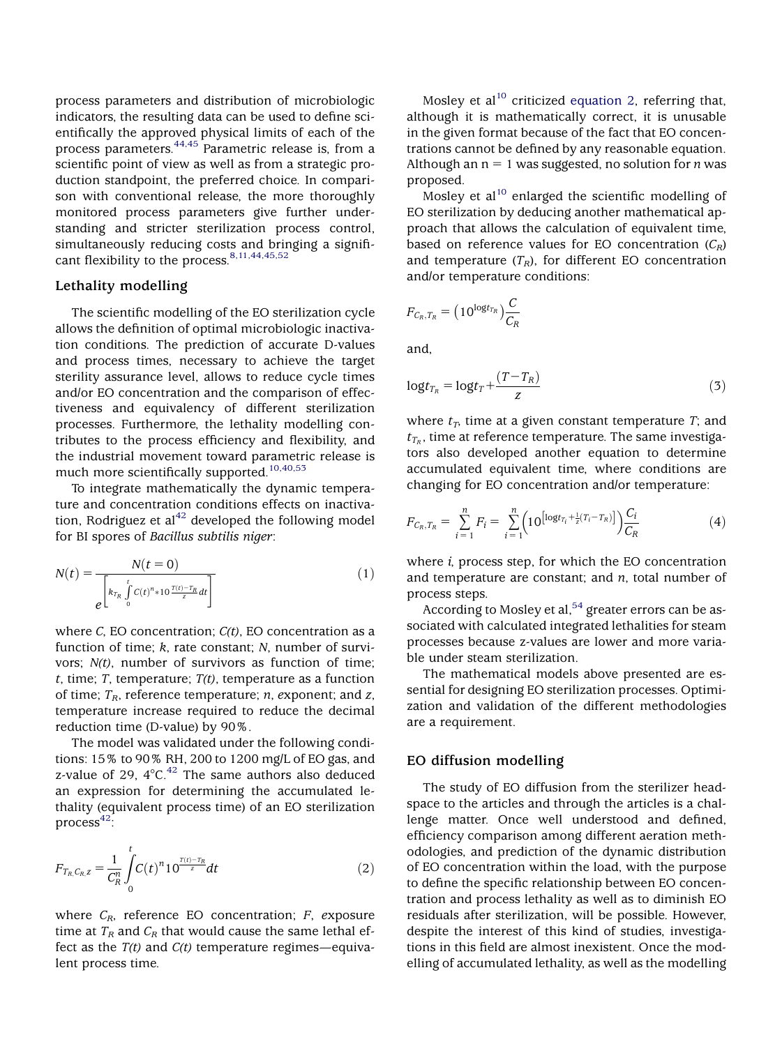process parameters and distribution of microbiologic indicators, the resulting data can be used to define scientifically the approved physical limits of each of the process parameters.[44,45](#page-7-0) Parametric release is, from a scientific point of view as well as from a strategic production standpoint, the preferred choice. In comparison with conventional release, the more thoroughly monitored process parameters give further understanding and stricter sterilization process control, simultaneously reducing costs and bringing a significant flexibility to the process.  $8,11,44,45,52$ 

#### Lethality modelling

The scientific modelling of the EO sterilization cycle allows the definition of optimal microbiologic inactivation conditions. The prediction of accurate D-values and process times, necessary to achieve the target sterility assurance level, allows to reduce cycle times and/or EO concentration and the comparison of effectiveness and equivalency of different sterilization processes. Furthermore, the lethality modelling contributes to the process efficiency and flexibility, and the industrial movement toward parametric release is much more scientifically supported.<sup>[10,40,53](#page-6-0)</sup>

To integrate mathematically the dynamic temperature and concentration conditions effects on inactivation, Rodriguez et  $al<sup>42</sup>$  $al<sup>42</sup>$  $al<sup>42</sup>$  developed the following model for BI spores of Bacillus subtilis niger:

$$
N(t) = \frac{N(t=0)}{e^{\left[k_{T_R}\int\limits_0^t C(t)^n + 10\frac{T(t)-T_R}{z}dt\right]}}
$$
(1)

where  $C$ , EO concentration;  $C(t)$ , EO concentration as a function of time;  $k$ , rate constant;  $N$ , number of survivors;  $N(t)$ , number of survivors as function of time; t, time; T, temperature;  $T(t)$ , temperature as a function of time;  $T_R$ , reference temperature; *n*, exponent; and *z*, temperature increase required to reduce the decimal reduction time (D-value) by 90%.

The model was validated under the following conditions: 15% to 90% RH, 200 to 1200 mg/L of EO gas, and z-value of 29,  $4^{\circ}$ C.<sup>[42](#page-7-0)</sup> The same authors also deduced an expression for determining the accumulated lethality (equivalent process time) of an EO sterilization process $42$ :

$$
F_{T_R,C_R,z} = \frac{1}{C_R^n} \int\limits_0^t C(t)^n 10^{\frac{T(t)-T_R}{z}} dt \tag{2}
$$

where  $C_R$ , reference EO concentration; F, exposure time at  $T_R$  and  $C_R$  that would cause the same lethal effect as the  $T(t)$  and  $C(t)$  temperature regimes—equivalent process time.

Mosley et al<sup>10</sup> criticized equation 2, referring that, although it is mathematically correct, it is unusable in the given format because of the fact that EO concentrations cannot be defined by any reasonable equation. Although an  $n = 1$  was suggested, no solution for *n* was proposed.

Mosley et  $al^{10}$  enlarged the scientific modelling of EO sterilization by deducing another mathematical approach that allows the calculation of equivalent time, based on reference values for EO concentration  $(C_R)$ and temperature  $(T_R)$ , for different EO concentration and/or temperature conditions:

$$
F_{C_R,T_R} = \left(10^{\log t_{T_R}}\right) \frac{C}{C_R}
$$

and,

$$
\log t_{T_R} = \log t_T + \frac{(T - T_R)}{z} \tag{3}
$$

where  $t_T$ , time at a given constant temperature  $T$ ; and  $t_{\text{Ts}}$ , time at reference temperature. The same investigators also developed another equation to determine accumulated equivalent time, where conditions are changing for EO concentration and/or temperature:

$$
F_{C_R,T_R} = \sum_{i=1}^n F_i = \sum_{i=1}^n \Biggl( 10^{\left[ \log t_{T_i} + \frac{1}{2}(T_i - T_R) \right]} \Biggr) \frac{C_i}{C_R} \tag{4}
$$

where i, process step, for which the EO concentration and temperature are constant; and  $n$ , total number of process steps.

According to Mosley et al,  $54$  greater errors can be associated with calculated integrated lethalities for steam processes because z-values are lower and more variable under steam sterilization.

The mathematical models above presented are essential for designing EO sterilization processes. Optimization and validation of the different methodologies are a requirement.

### EO diffusion modelling

The study of EO diffusion from the sterilizer headspace to the articles and through the articles is a challenge matter. Once well understood and defined, efficiency comparison among different aeration methodologies, and prediction of the dynamic distribution of EO concentration within the load, with the purpose to define the specific relationship between EO concentration and process lethality as well as to diminish EO residuals after sterilization, will be possible. However, despite the interest of this kind of studies, investigations in this field are almost inexistent. Once the modelling of accumulated lethality, as well as the modelling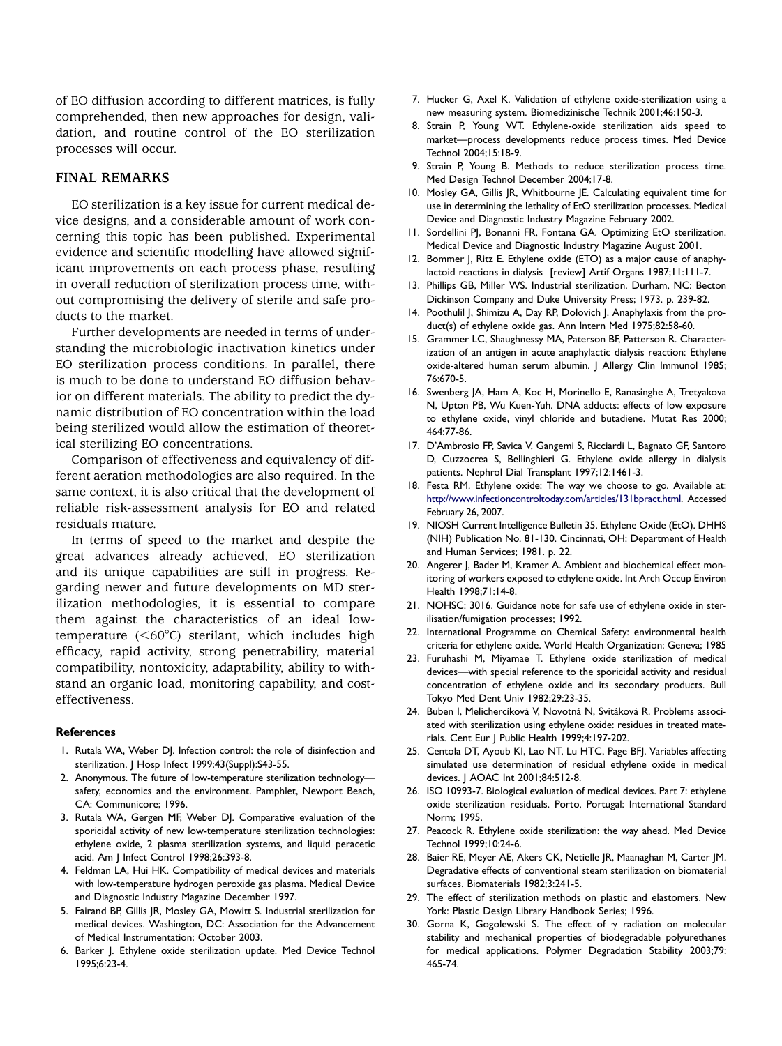<span id="page-6-0"></span>of EO diffusion according to different matrices, is fully comprehended, then new approaches for design, validation, and routine control of the EO sterilization processes will occur.

#### FINAL REMARKS

EO sterilization is a key issue for current medical device designs, and a considerable amount of work concerning this topic has been published. Experimental evidence and scientific modelling have allowed significant improvements on each process phase, resulting in overall reduction of sterilization process time, without compromising the delivery of sterile and safe products to the market.

Further developments are needed in terms of understanding the microbiologic inactivation kinetics under EO sterilization process conditions. In parallel, there is much to be done to understand EO diffusion behavior on different materials. The ability to predict the dynamic distribution of EO concentration within the load being sterilized would allow the estimation of theoretical sterilizing EO concentrations.

Comparison of effectiveness and equivalency of different aeration methodologies are also required. In the same context, it is also critical that the development of reliable risk-assessment analysis for EO and related residuals mature.

In terms of speed to the market and despite the great advances already achieved, EO sterilization and its unique capabilities are still in progress. Regarding newer and future developments on MD sterilization methodologies, it is essential to compare them against the characteristics of an ideal lowtemperature  $(<60^{\circ}C$ ) sterilant, which includes highefficacy, rapid activity, strong penetrability, material compatibility, nontoxicity, adaptability, ability to withstand an organic load, monitoring capability, and costeffectiveness.

#### **References**

- 1. Rutala WA, Weber DJ. Infection control: the role of disinfection and sterilization. J Hosp Infect 1999;43(Suppl):S43-55.
- 2. Anonymous. The future of low-temperature sterilization technology safety, economics and the environment. Pamphlet, Newport Beach, CA: Communicore; 1996.
- 3. Rutala WA, Gergen MF, Weber DJ. Comparative evaluation of the sporicidal activity of new low-temperature sterilization technologies: ethylene oxide, 2 plasma sterilization systems, and liquid peracetic acid. Am J Infect Control 1998;26:393-8.
- 4. Feldman LA, Hui HK. Compatibility of medical devices and materials with low-temperature hydrogen peroxide gas plasma. Medical Device and Diagnostic Industry Magazine December 1997.
- 5. Fairand BP, Gillis JR, Mosley GA, Mowitt S. Industrial sterilization for medical devices. Washington, DC: Association for the Advancement of Medical Instrumentation; October 2003.
- 6. Barker J. Ethylene oxide sterilization update. Med Device Technol 1995;6:23-4.
- 7. Hucker G, Axel K. Validation of ethylene oxide-sterilization using a new measuring system. Biomedizinische Technik 2001;46:150-3.
- 8. Strain P, Young WT. Ethylene-oxide sterilization aids speed to market—process developments reduce process times. Med Device Technol 2004;15:18-9.
- 9. Strain P, Young B. Methods to reduce sterilization process time. Med Design Technol December 2004;17-8.
- 10. Mosley GA, Gillis JR, Whitbourne JE. Calculating equivalent time for use in determining the lethality of EtO sterilization processes. Medical Device and Diagnostic Industry Magazine February 2002.
- 11. Sordellini PJ, Bonanni FR, Fontana GA. Optimizing EtO sterilization. Medical Device and Diagnostic Industry Magazine August 2001.
- 12. Bommer J, Ritz E. Ethylene oxide (ETO) as a major cause of anaphylactoid reactions in dialysis [review] Artif Organs 1987;11:111-7.
- 13. Phillips GB, Miller WS. Industrial sterilization. Durham, NC: Becton Dickinson Company and Duke University Press; 1973. p. 239-82.
- 14. Poothulil J, Shimizu A, Day RP, Dolovich J. Anaphylaxis from the product(s) of ethylene oxide gas. Ann Intern Med 1975;82:58-60.
- 15. Grammer LC, Shaughnessy MA, Paterson BF, Patterson R. Characterization of an antigen in acute anaphylactic dialysis reaction: Ethylene oxide-altered human serum albumin. J Allergy Clin Immunol 1985; 76:670-5.
- 16. Swenberg JA, Ham A, Koc H, Morinello E, Ranasinghe A, Tretyakova N, Upton PB, Wu Kuen-Yuh. DNA adducts: effects of low exposure to ethylene oxide, vinyl chloride and butadiene. Mutat Res 2000; 464:77-86.
- 17. D'Ambrosio FP, Savica V, Gangemi S, Ricciardi L, Bagnato GF, Santoro D, Cuzzocrea S, Bellinghieri G. Ethylene oxide allergy in dialysis patients. Nephrol Dial Transplant 1997;12:1461-3.
- 18. Festa RM. Ethylene oxide: The way we choose to go. Available at: [http://www.infectioncontroltoday.com/articles/131bpract.html.](http://www.infectioncontroltoday.com/articles/131bpract.html) Accessed February 26, 2007.
- 19. NIOSH Current Intelligence Bulletin 35. Ethylene Oxide (EtO). DHHS (NIH) Publication No. 81-130. Cincinnati, OH: Department of Health and Human Services; 1981. p. 22.
- 20. Angerer J, Bader M, Kramer A. Ambient and biochemical effect monitoring of workers exposed to ethylene oxide. Int Arch Occup Environ Health 1998;71:14-8.
- 21. NOHSC: 3016. Guidance note for safe use of ethylene oxide in sterilisation/fumigation processes; 1992.
- 22. International Programme on Chemical Safety: environmental health criteria for ethylene oxide. World Health Organization: Geneva; 1985
- 23. Furuhashi M, Miyamae T. Ethylene oxide sterilization of medical devices—with special reference to the sporicidal activity and residual concentration of ethylene oxide and its secondary products. Bull Tokyo Med Dent Univ 1982;29:23-35.
- 24. Buben I, Melichercíková V, Novotná N, Svitáková R. Problems associated with sterilization using ethylene oxide: residues in treated materials. Cent Eur J Public Health 1999;4:197-202.
- 25. Centola DT, Ayoub KI, Lao NT, Lu HTC, Page BFJ. Variables affecting simulated use determination of residual ethylene oxide in medical devices. J AOAC Int 2001;84:512-8.
- 26. ISO 10993-7. Biological evaluation of medical devices. Part 7: ethylene oxide sterilization residuals. Porto, Portugal: International Standard Norm; 1995.
- 27. Peacock R. Ethylene oxide sterilization: the way ahead. Med Device Technol 1999;10:24-6.
- 28. Baier RE, Meyer AE, Akers CK, Netielle JR, Maanaghan M, Carter JM. Degradative effects of conventional steam sterilization on biomaterial surfaces. Biomaterials 1982;3:241-5.
- 29. The effect of sterilization methods on plastic and elastomers. New York: Plastic Design Library Handbook Series; 1996.
- 30. Gorna K, Gogolewski S. The effect of  $\gamma$  radiation on molecular stability and mechanical properties of biodegradable polyurethanes for medical applications. Polymer Degradation Stability 2003;79: 465-74.